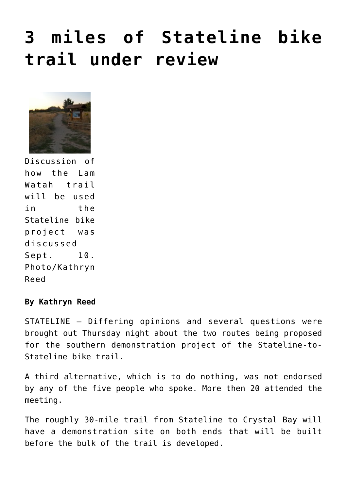## **[3 miles of Stateline bike](https://www.laketahoenews.net/2009/09/3-miles-of-stateline-bike-trail-under-review/) [trail under review](https://www.laketahoenews.net/2009/09/3-miles-of-stateline-bike-trail-under-review/)**



Discussion of how the Lam Watah trail will be used in the Stateline bike project was discussed Sept. 10. Photo/Kathryn Reed

## **By Kathryn Reed**

STATELINE — Differing opinions and several questions were brought out Thursday night about the two routes being proposed for the southern demonstration project of the Stateline-to-Stateline bike trail.

A third alternative, which is to do nothing, was not endorsed by any of the five people who spoke. More then 20 attended the meeting.

The roughly 30-mile trail from Stateline to Crystal Bay will have a demonstration site on both ends that will be built before the bulk of the trail is developed.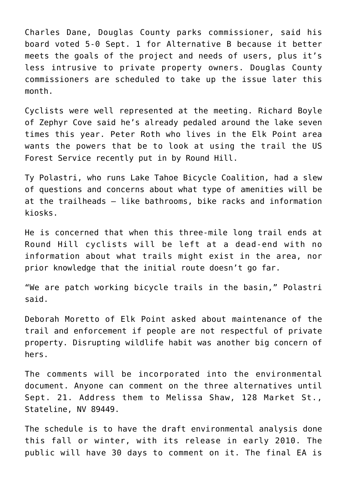Charles Dane, Douglas County parks commissioner, said his board voted 5-0 Sept. 1 for Alternative B because it better meets the goals of the project and needs of users, plus it's less intrusive to private property owners. Douglas County commissioners are scheduled to take up the issue later this month.

Cyclists were well represented at the meeting. Richard Boyle of Zephyr Cove said he's already pedaled around the lake seven times this year. Peter Roth who lives in the Elk Point area wants the powers that be to look at using the trail the US Forest Service recently put in by Round Hill.

Ty Polastri, who runs Lake Tahoe Bicycle Coalition, had a slew of questions and concerns about what type of amenities will be at the trailheads — like bathrooms, bike racks and information kiosks.

He is concerned that when this three-mile long trail ends at Round Hill cyclists will be left at a dead-end with no information about what trails might exist in the area, nor prior knowledge that the initial route doesn't go far.

"We are patch working bicycle trails in the basin," Polastri said.

Deborah Moretto of Elk Point asked about maintenance of the trail and enforcement if people are not respectful of private property. Disrupting wildlife habit was another big concern of hers.

The comments will be incorporated into the environmental document. Anyone can comment on the three alternatives until Sept. 21. Address them to Melissa Shaw, 128 Market St., Stateline, NV 89449.

The schedule is to have the draft environmental analysis done this fall or winter, with its release in early 2010. The public will have 30 days to comment on it. The final EA is